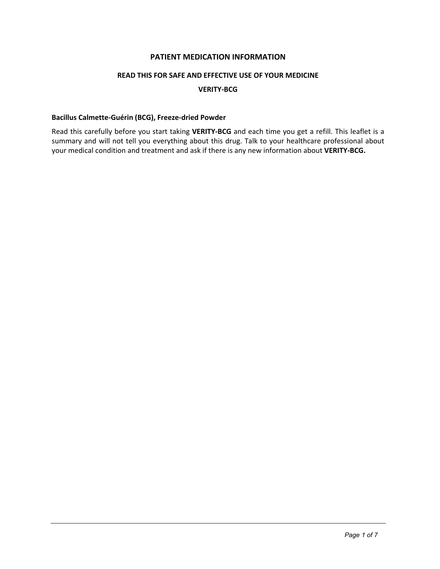# **PATIENT MEDICATION INFORMATION**

# **READ THIS FOR SAFE AND EFFECTIVE USE OF YOUR MEDICINE**

### **VERITY-BCG**

# **Bacillus Calmette-Guérin (BCG), Freeze-dried Powder**

Read this carefully before you start taking **VERITY-BCG** and each time you get a refill. This leaflet is a summary and will not tell you everything about this drug. Talk to your healthcare professional about your medical condition and treatment and ask if there is any new information about **VERITY-BCG.**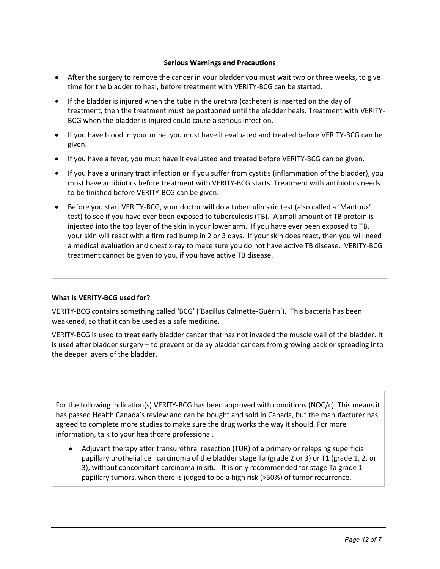### **Serious Warnings and Precautions**

- After the surgery to remove the cancer in your bladder you must wait two or three weeks, to give time for the bladder to heal, before treatment with VERITY-BCG can be started.
- If the bladder is injured when the tube in the urethra (catheter) is inserted on the day of treatment, then the treatment must be postponed until the bladder heals. Treatment with VERITY-BCG when the bladder is injured could cause a serious infection.
- If you have blood in your urine, you must have it evaluated and treated before VERITY-BCG can be given.
- If you have a fever, you must have it evaluated and treated before VERITY-BCG can be given.
- If you have a urinary tract infection or if you suffer from cystitis (inflammation of the bladder), you must have antibiotics before treatment with VERITY-BCG starts. Treatment with antibiotics needs to be finished before VERITY-BCG can be given.
- Before you start VERITY-BCG, your doctor will do a tuberculin skin test (also called a 'Mantoux' test) to see if you have ever been exposed to tuberculosis (TB). A small amount of TB protein is injected into the top layer of the skin in your lower arm. If you have ever been exposed to TB, your skin will react with a firm red bump in 2 or 3 days. If your skin does react, then you will need a medical evaluation and chest x-ray to make sure you do not have active TB disease. VERITY-BCG treatment cannot be given to you, if you have active TB disease.

# **What is VERITY-BCG used for?**

VERITY-BCG contains something called 'BCG' ('Bacillus Calmette-Guérin'). This bacteria has been weakened, so that it can be used as a safe medicine.

VERITY-BCG is used to treat early bladder cancer that has not invaded the muscle wall of the bladder. It is used after bladder surgery – to prevent or delay bladder cancers from growing back or spreading into the deeper layers of the bladder.

For the following indication(s) VERITY-BCG has been approved with conditions (NOC/c). This means it has passed Health Canada's review and can be bought and sold in Canada, but the manufacturer has agreed to complete more studies to make sure the drug works the way it should. For more information, talk to your healthcare professional.

 Adjuvant therapy after transurethral resection (TUR) of a primary or relapsing superficial papillary urothelial cell carcinoma of the bladder stage Ta (grade 2 or 3) or T1 (grade 1, 2, or 3), without concomitant carcinoma in situ. It is only recommended for stage Ta grade 1 papillary tumors, when there is judged to be a high risk (>50%) of tumor recurrence.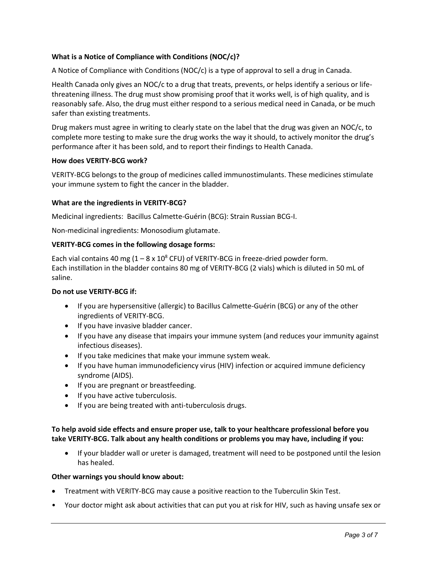# **What is a Notice of Compliance with Conditions (NOC/c)?**

A Notice of Compliance with Conditions (NOC/c) is a type of approval to sell a drug in Canada.

Health Canada only gives an NOC/c to a drug that treats, prevents, or helps identify a serious or lifethreatening illness. The drug must show promising proof that it works well, is of high quality, and is reasonably safe. Also, the drug must either respond to a serious medical need in Canada, or be much safer than existing treatments.

Drug makers must agree in writing to clearly state on the label that the drug was given an NOC/c, to complete more testing to make sure the drug works the way it should, to actively monitor the drug's performance after it has been sold, and to report their findings to Health Canada.

### **How does VERITY-BCG work?**

VERITY-BCG belongs to the group of medicines called immunostimulants. These medicines stimulate your immune system to fight the cancer in the bladder.

### **What are the ingredients in VERITY-BCG?**

Medicinal ingredients:Bacillus Calmette-Guérin (BCG): Strain Russian BCG-I.

Non-medicinal ingredients: Monosodium glutamate.

### **VERITY-BCG comes in the following dosage forms:**

Each vial contains 40 mg  $(1 - 8 \times 10^8 \text{ CFU})$  of VERITY-BCG in freeze-dried powder form. Each instillation in the bladder contains 80 mg of VERITY-BCG (2 vials) which is diluted in 50 mL of saline.

#### **Do not use VERITY-BCG if:**

- If you are hypersensitive (allergic) to Bacillus Calmette-Guérin (BCG) or any of the other ingredients of VERITY-BCG.
- If you have invasive bladder cancer.
- If you have any disease that impairs your immune system (and reduces your immunity against infectious diseases).
- If you take medicines that make your immune system weak.
- If you have human immunodeficiency virus (HIV) infection or acquired immune deficiency syndrome (AIDS).
- If you are pregnant or breastfeeding.
- If you have active tuberculosis.
- If you are being treated with anti-tuberculosis drugs.

# **To help avoid side effects and ensure proper use, talk to your healthcare professional before you take VERITY-BCG. Talk about any health conditions or problems you may have, including if you:**

 If your bladder wall or ureter is damaged, treatment will need to be postponed until the lesion has healed.

#### **Other warnings you should know about:**

- Treatment with VERITY-BCG may cause a positive reaction to the Tuberculin Skin Test.
- Your doctor might ask about activities that can put you at risk for HIV, such as having unsafe sex or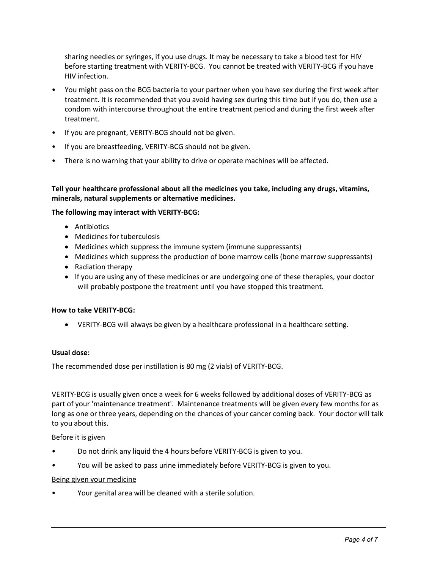sharing needles or syringes, if you use drugs. It may be necessary to take a blood test for HIV before starting treatment with VERITY-BCG. You cannot be treated with VERITY-BCG if you have HIV infection.

- You might pass on the BCG bacteria to your partner when you have sex during the first week after treatment. It is recommended that you avoid having sex during this time but if you do, then use a condom with intercourse throughout the entire treatment period and during the first week after treatment.
- If you are pregnant, VERITY-BCG should not be given.
- If you are breastfeeding, VERITY-BCG should not be given.
- There is no warning that your ability to drive or operate machines will be affected.

**Tell your healthcare professional about all the medicines you take, including any drugs, vitamins, minerals, natural supplements or alternative medicines.**

### **The following may interact with VERITY-BCG:**

- Antibiotics
- Medicines for tuberculosis
- Medicines which suppress the immune system (immune suppressants)
- Medicines which suppress the production of bone marrow cells (bone marrow suppressants)
- Radiation therapy
- If you are using any of these medicines or are undergoing one of these therapies, your doctor will probably postpone the treatment until you have stopped this treatment.

#### **How to take VERITY-BCG:**

VERITY-BCG will always be given by a healthcare professional in a healthcare setting.

### **Usual dose:**

The recommended dose per instillation is 80 mg (2 vials) of VERITY-BCG.

VERITY-BCG is usually given once a week for 6 weeks followed by additional doses of VERITY-BCG as part of your 'maintenance treatment'. Maintenance treatments will be given every few months for as long as one or three years, depending on the chances of your cancer coming back. Your doctor will talk to you about this.

#### Before it is given

- Do not drink any liquid the 4 hours before VERITY-BCG is given to you.
- You will be asked to pass urine immediately before VERITY-BCG is given to you.

#### Being given your medicine

• Your genital area will be cleaned with a sterile solution.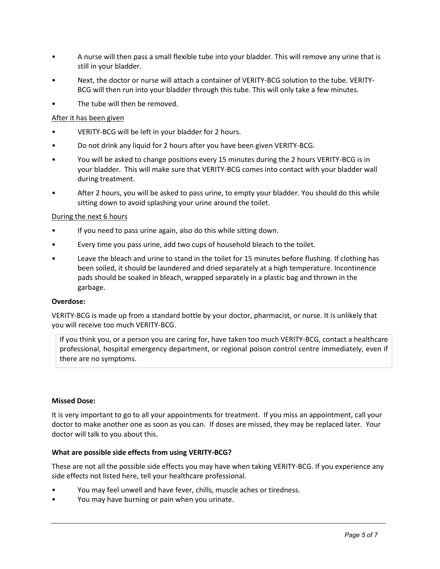- A nurse will then pass a small flexible tube into your bladder. This will remove any urine that is still in your bladder.
- Next, the doctor or nurse will attach a container of VERITY-BCG solution to the tube. VERITY-BCG will then run into your bladder through this tube. This will only take a few minutes.
- The tube will then be removed.

# After it has been given

- VERITY-BCG will be left in your bladder for 2 hours.
- Do not drink any liquid for 2 hours after you have been given VERITY-BCG.
- You will be asked to change positions every 15 minutes during the 2 hours VERITY-BCG is in your bladder. This will make sure that VERITY-BCG comes into contact with your bladder wall during treatment.
- After 2 hours, you will be asked to pass urine, to empty your bladder. You should do this while sitting down to avoid splashing your urine around the toilet.

# During the next 6 hours

- If you need to pass urine again, also do this while sitting down.
- Every time you pass urine, add two cups of household bleach to the toilet.
- Leave the bleach and urine to stand in the toilet for 15 minutes before flushing. If clothing has been soiled, it should be laundered and dried separately at a high temperature. Incontinence pads should be soaked in bleach, wrapped separately in a plastic bag and thrown in the garbage.

# **Overdose:**

VERITY-BCG is made up from a standard bottle by your doctor, pharmacist, or nurse. It is unlikely that you will receive too much VERITY-BCG.

If you think you, or a person you are caring for, have taken too much VERITY-BCG, contact a healthcare professional, hospital emergency department, or regional poison control centre immediately, even if there are no symptoms.

# **Missed Dose:**

It is very important to go to all your appointments for treatment. If you miss an appointment, call your doctor to make another one as soon as you can. If doses are missed, they may be replaced later. Your doctor will talk to you about this.

# **What are possible side effects from using VERITY-BCG?**

These are not all the possible side effects you may have when taking VERITY-BCG. If you experience any side effects not listed here, tell your healthcare professional.

- You may feel unwell and have fever, chills, muscle aches or tiredness.
- You may have burning or pain when you urinate.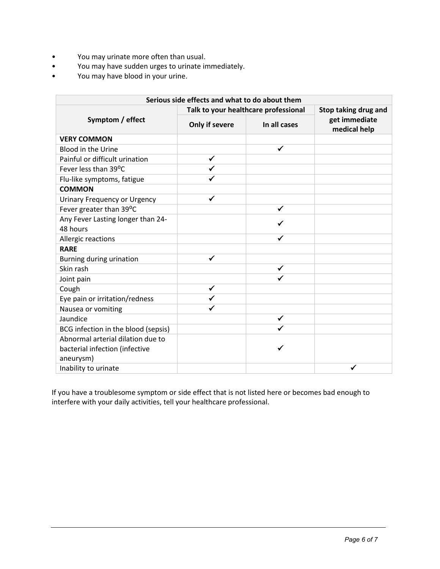- You may urinate more often than usual.
- You may have sudden urges to urinate immediately.
- You may have blood in your urine.

| Serious side effects and what to do about them |                                      |              |                               |
|------------------------------------------------|--------------------------------------|--------------|-------------------------------|
| Symptom / effect                               | Talk to your healthcare professional |              | Stop taking drug and          |
|                                                | Only if severe                       | In all cases | get immediate<br>medical help |
| <b>VERY COMMON</b>                             |                                      |              |                               |
| Blood in the Urine                             |                                      | ✓            |                               |
| Painful or difficult urination                 | ✓                                    |              |                               |
| Fever less than 39°C                           |                                      |              |                               |
| Flu-like symptoms, fatigue                     |                                      |              |                               |
| <b>COMMON</b>                                  |                                      |              |                               |
| <b>Urinary Frequency or Urgency</b>            | ✓                                    |              |                               |
| Fever greater than 39°C                        |                                      | ✓            |                               |
| Any Fever Lasting longer than 24-              |                                      |              |                               |
| 48 hours                                       |                                      |              |                               |
| Allergic reactions                             |                                      |              |                               |
| <b>RARE</b>                                    |                                      |              |                               |
| Burning during urination                       | ✔                                    |              |                               |
| Skin rash                                      |                                      | ✓            |                               |
| Joint pain                                     |                                      |              |                               |
| Cough                                          | ✔                                    |              |                               |
| Eye pain or irritation/redness                 |                                      |              |                               |
| Nausea or vomiting                             |                                      |              |                               |
| Jaundice                                       |                                      | ✓            |                               |
| BCG infection in the blood (sepsis)            |                                      |              |                               |
| Abnormal arterial dilation due to              |                                      |              |                               |
| bacterial infection (infective                 |                                      |              |                               |
| aneurysm)                                      |                                      |              |                               |
| Inability to urinate                           |                                      |              |                               |

If you have a troublesome symptom or side effect that is not listed here or becomes bad enough to interfere with your daily activities, tell your healthcare professional.